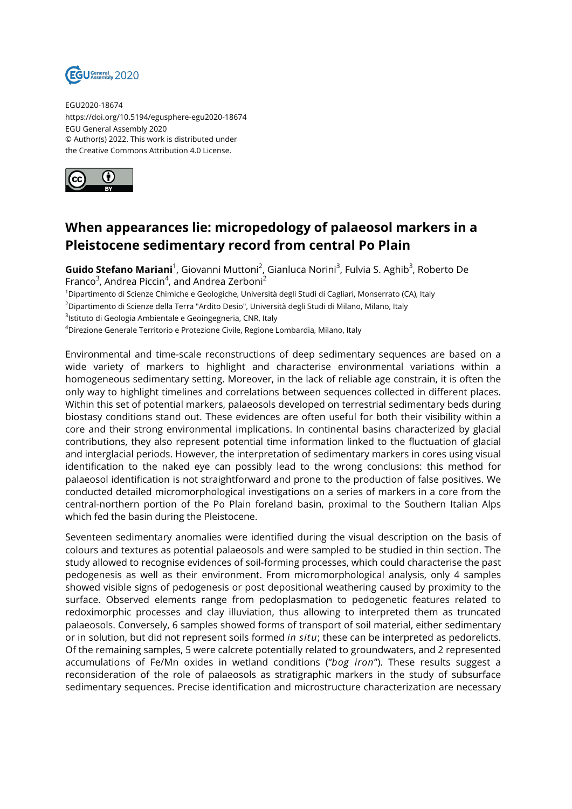

EGU2020-18674 https://doi.org/10.5194/egusphere-egu2020-18674 EGU General Assembly 2020 © Author(s) 2022. This work is distributed under the Creative Commons Attribution 4.0 License.



## **When appearances lie: micropedology of palaeosol markers in a Pleistocene sedimentary record from central Po Plain**

**Guido Stefano Mariani**<sup>1</sup>, Giovanni Muttoni<sup>2</sup>, Gianluca Norini<sup>3</sup>, Fulvia S. Aghib<sup>3</sup>, Roberto De Franco $3$ , Andrea Piccin $4$ , and Andrea Zerboni $^2$ 

<sup>1</sup>Dipartimento di Scienze Chimiche e Geologiche, Università degli Studi di Cagliari, Monserrato (CA), Italy

<sup>2</sup>Dipartimento di Scienze della Terra "Ardito Desio", Università degli Studi di Milano, Milano, Italy

<sup>3</sup>lstituto di Geologia Ambientale e Geoingegneria, CNR, Italy

<sup>4</sup>Direzione Generale Territorio e Protezione Civile, Regione Lombardia, Milano, Italy

Environmental and time-scale reconstructions of deep sedimentary sequences are based on a wide variety of markers to highlight and characterise environmental variations within a homogeneous sedimentary setting. Moreover, in the lack of reliable age constrain, it is often the only way to highlight timelines and correlations between sequences collected in different places. Within this set of potential markers, palaeosols developed on terrestrial sedimentary beds during biostasy conditions stand out. These evidences are often useful for both their visibility within a core and their strong environmental implications. In continental basins characterized by glacial contributions, they also represent potential time information linked to the fluctuation of glacial and interglacial periods. However, the interpretation of sedimentary markers in cores using visual identification to the naked eye can possibly lead to the wrong conclusions: this method for palaeosol identification is not straightforward and prone to the production of false positives. We conducted detailed micromorphological investigations on a series of markers in a core from the central-northern portion of the Po Plain foreland basin, proximal to the Southern Italian Alps which fed the basin during the Pleistocene.

Seventeen sedimentary anomalies were identified during the visual description on the basis of colours and textures as potential palaeosols and were sampled to be studied in thin section. The study allowed to recognise evidences of soil-forming processes, which could characterise the past pedogenesis as well as their environment. From micromorphological analysis, only 4 samples showed visible signs of pedogenesis or post depositional weathering caused by proximity to the surface. Observed elements range from pedoplasmation to pedogenetic features related to redoximorphic processes and clay illuviation, thus allowing to interpreted them as truncated palaeosols. Conversely, 6 samples showed forms of transport of soil material, either sedimentary or in solution, but did not represent soils formed *in situ*; these can be interpreted as pedorelicts. Of the remaining samples, 5 were calcrete potentially related to groundwaters, and 2 represented accumulations of Fe/Mn oxides in wetland conditions ("*bog iron*"). These results suggest a reconsideration of the role of palaeosols as stratigraphic markers in the study of subsurface sedimentary sequences. Precise identification and microstructure characterization are necessary